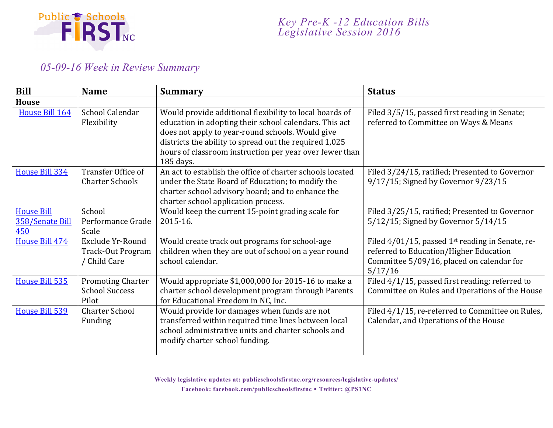

## *05-09-16 Week in Review Summary*

| <b>Bill</b>                                 | <b>Name</b>                                                | <b>Summary</b>                                                                                                                                                                                                                                                                                          | <b>Status</b>                                                                                                                                                  |
|---------------------------------------------|------------------------------------------------------------|---------------------------------------------------------------------------------------------------------------------------------------------------------------------------------------------------------------------------------------------------------------------------------------------------------|----------------------------------------------------------------------------------------------------------------------------------------------------------------|
| <b>House</b>                                |                                                            |                                                                                                                                                                                                                                                                                                         |                                                                                                                                                                |
| House Bill 164                              | School Calendar<br>Flexibility                             | Would provide additional flexibility to local boards of<br>education in adopting their school calendars. This act<br>does not apply to year-round schools. Would give<br>districts the ability to spread out the required 1,025<br>hours of classroom instruction per year over fewer than<br>185 days. | Filed 3/5/15, passed first reading in Senate;<br>referred to Committee on Ways & Means                                                                         |
| House Bill 334                              | Transfer Office of<br><b>Charter Schools</b>               | An act to establish the office of charter schools located<br>under the State Board of Education; to modify the<br>charter school advisory board; and to enhance the<br>charter school application process.                                                                                              | Filed 3/24/15, ratified; Presented to Governor<br>9/17/15; Signed by Governor 9/23/15                                                                          |
| <b>House Bill</b><br>358/Senate Bill<br>450 | School<br>Performance Grade<br>Scale                       | Would keep the current 15-point grading scale for<br>2015-16.                                                                                                                                                                                                                                           | Filed 3/25/15, ratified; Presented to Governor<br>5/12/15; Signed by Governor 5/14/15                                                                          |
| House Bill 474                              | Exclude Yr-Round<br>Track-Out Program<br>/ Child Care      | Would create track out programs for school-age<br>children when they are out of school on a year round<br>school calendar.                                                                                                                                                                              | Filed 4/01/15, passed 1 <sup>st</sup> reading in Senate, re-<br>referred to Education/Higher Education<br>Committee 5/09/16, placed on calendar for<br>5/17/16 |
| House Bill 535                              | <b>Promoting Charter</b><br><b>School Success</b><br>Pilot | Would appropriate \$1,000,000 for 2015-16 to make a<br>charter school development program through Parents<br>for Educational Freedom in NC, Inc.                                                                                                                                                        | Filed 4/1/15, passed first reading; referred to<br>Committee on Rules and Operations of the House                                                              |
| House Bill 539                              | <b>Charter School</b><br>Funding                           | Would provide for damages when funds are not<br>transferred within required time lines between local<br>school administrative units and charter schools and<br>modify charter school funding.                                                                                                           | Filed 4/1/15, re-referred to Committee on Rules,<br>Calendar, and Operations of the House                                                                      |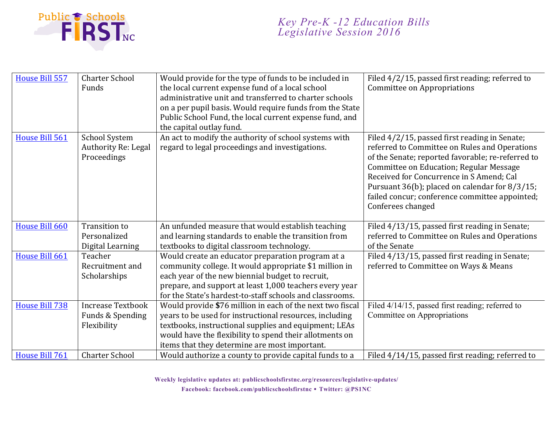

| House Bill 557 | <b>Charter School</b><br>Funds                             | Would provide for the type of funds to be included in<br>the local current expense fund of a local school<br>administrative unit and transferred to charter schools<br>on a per pupil basis. Would require funds from the State<br>Public School Fund, the local current expense fund, and<br>the capital outlay fund. | Filed 4/2/15, passed first reading; referred to<br>Committee on Appropriations                                                                                                                                                                                                                                                                                      |
|----------------|------------------------------------------------------------|------------------------------------------------------------------------------------------------------------------------------------------------------------------------------------------------------------------------------------------------------------------------------------------------------------------------|---------------------------------------------------------------------------------------------------------------------------------------------------------------------------------------------------------------------------------------------------------------------------------------------------------------------------------------------------------------------|
| House Bill 561 | <b>School System</b><br>Authority Re: Legal<br>Proceedings | An act to modify the authority of school systems with<br>regard to legal proceedings and investigations.                                                                                                                                                                                                               | Filed 4/2/15, passed first reading in Senate;<br>referred to Committee on Rules and Operations<br>of the Senate; reported favorable; re-referred to<br>Committee on Education; Regular Message<br>Received for Concurrence in S Amend; Cal<br>Pursuant 36(b); placed on calendar for 8/3/15;<br>failed concur; conference committee appointed;<br>Conferees changed |
| House Bill 660 | <b>Transition to</b>                                       | An unfunded measure that would establish teaching                                                                                                                                                                                                                                                                      | Filed 4/13/15, passed first reading in Senate;                                                                                                                                                                                                                                                                                                                      |
|                | Personalized                                               | and learning standards to enable the transition from                                                                                                                                                                                                                                                                   | referred to Committee on Rules and Operations                                                                                                                                                                                                                                                                                                                       |
|                | Digital Learning                                           | textbooks to digital classroom technology.                                                                                                                                                                                                                                                                             | of the Senate                                                                                                                                                                                                                                                                                                                                                       |
| House Bill 661 | Teacher                                                    | Would create an educator preparation program at a                                                                                                                                                                                                                                                                      | Filed 4/13/15, passed first reading in Senate;                                                                                                                                                                                                                                                                                                                      |
|                | Recruitment and                                            | community college. It would appropriate \$1 million in                                                                                                                                                                                                                                                                 | referred to Committee on Ways & Means                                                                                                                                                                                                                                                                                                                               |
|                | Scholarships                                               | each year of the new biennial budget to recruit,                                                                                                                                                                                                                                                                       |                                                                                                                                                                                                                                                                                                                                                                     |
|                |                                                            | prepare, and support at least 1,000 teachers every year                                                                                                                                                                                                                                                                |                                                                                                                                                                                                                                                                                                                                                                     |
|                |                                                            | for the State's hardest-to-staff schools and classrooms.                                                                                                                                                                                                                                                               |                                                                                                                                                                                                                                                                                                                                                                     |
| House Bill 738 | <b>Increase Textbook</b>                                   | Would provide \$76 million in each of the next two fiscal                                                                                                                                                                                                                                                              | Filed 4/14/15, passed first reading; referred to                                                                                                                                                                                                                                                                                                                    |
|                | Funds & Spending                                           | years to be used for instructional resources, including                                                                                                                                                                                                                                                                | Committee on Appropriations                                                                                                                                                                                                                                                                                                                                         |
|                | Flexibility                                                | textbooks, instructional supplies and equipment; LEAs                                                                                                                                                                                                                                                                  |                                                                                                                                                                                                                                                                                                                                                                     |
|                |                                                            | would have the flexibility to spend their allotments on                                                                                                                                                                                                                                                                |                                                                                                                                                                                                                                                                                                                                                                     |
|                |                                                            | items that they determine are most important.                                                                                                                                                                                                                                                                          |                                                                                                                                                                                                                                                                                                                                                                     |
| House Bill 761 | <b>Charter School</b>                                      | Would authorize a county to provide capital funds to a                                                                                                                                                                                                                                                                 | Filed 4/14/15, passed first reading; referred to                                                                                                                                                                                                                                                                                                                    |

**Weekly legislative updates at: publicschoolsfirstnc.org/resources/legislative-updates/**

**Facebook: facebook.com/publicschoolsfirstnc Twitter: @PS1NC**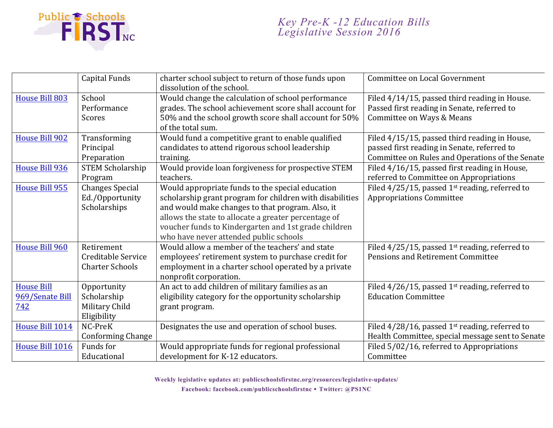

|                                             | <b>Capital Funds</b>                                        | charter school subject to return of those funds upon<br>dissolution of the school.                                                                                                                                                                                                                                         | Committee on Local Government                                                                                                                   |
|---------------------------------------------|-------------------------------------------------------------|----------------------------------------------------------------------------------------------------------------------------------------------------------------------------------------------------------------------------------------------------------------------------------------------------------------------------|-------------------------------------------------------------------------------------------------------------------------------------------------|
| House Bill 803                              | School<br>Performance<br>Scores                             | Would change the calculation of school performance<br>grades. The school achievement score shall account for<br>50% and the school growth score shall account for 50%<br>of the total sum.                                                                                                                                 | Filed 4/14/15, passed third reading in House.<br>Passed first reading in Senate, referred to<br>Committee on Ways & Means                       |
| <b>House Bill 902</b>                       | Transforming<br>Principal<br>Preparation                    | Would fund a competitive grant to enable qualified<br>candidates to attend rigorous school leadership<br>training.                                                                                                                                                                                                         | Filed 4/15/15, passed third reading in House,<br>passed first reading in Senate, referred to<br>Committee on Rules and Operations of the Senate |
| <b>House Bill 936</b>                       | <b>STEM Scholarship</b><br>Program                          | Would provide loan forgiveness for prospective STEM<br>teachers.                                                                                                                                                                                                                                                           | Filed 4/16/15, passed first reading in House,<br>referred to Committee on Appropriations                                                        |
| <b>House Bill 955</b>                       | <b>Changes Special</b><br>Ed./Opportunity<br>Scholarships   | Would appropriate funds to the special education<br>scholarship grant program for children with disabilities<br>and would make changes to that program. Also, it<br>allows the state to allocate a greater percentage of<br>voucher funds to Kindergarten and 1st grade children<br>who have never attended public schools | Filed $4/25/15$ , passed 1st reading, referred to<br><b>Appropriations Committee</b>                                                            |
| House Bill 960                              | Retirement<br>Creditable Service<br><b>Charter Schools</b>  | Would allow a member of the teachers' and state<br>employees' retirement system to purchase credit for<br>employment in a charter school operated by a private<br>nonprofit corporation.                                                                                                                                   | Filed $4/25/15$ , passed 1 <sup>st</sup> reading, referred to<br>Pensions and Retirement Committee                                              |
| <b>House Bill</b><br>969/Senate Bill<br>742 | Opportunity<br>Scholarship<br>Military Child<br>Eligibility | An act to add children of military families as an<br>eligibility category for the opportunity scholarship<br>grant program.                                                                                                                                                                                                | Filed $4/26/15$ , passed 1 <sup>st</sup> reading, referred to<br><b>Education Committee</b>                                                     |
| House Bill 1014                             | NC-PreK<br><b>Conforming Change</b>                         | Designates the use and operation of school buses.                                                                                                                                                                                                                                                                          | Filed 4/28/16, passed 1st reading, referred to<br>Health Committee, special message sent to Senate                                              |
| House Bill 1016                             | Funds for<br>Educational                                    | Would appropriate funds for regional professional<br>development for K-12 educators.                                                                                                                                                                                                                                       | Filed 5/02/16, referred to Appropriations<br>Committee                                                                                          |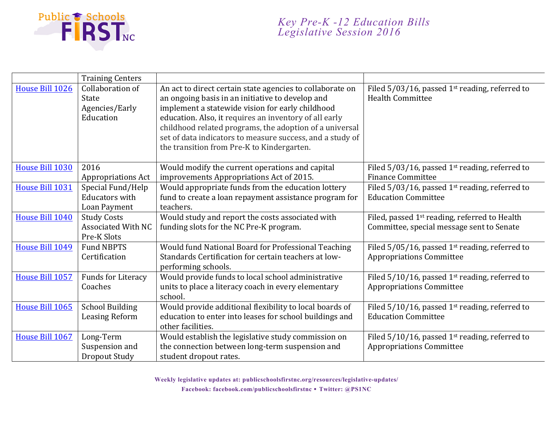

|                 | <b>Training Centers</b>                                         |                                                                                                                                                                                                                                                                                                                                                                                                   |                                                                                                        |
|-----------------|-----------------------------------------------------------------|---------------------------------------------------------------------------------------------------------------------------------------------------------------------------------------------------------------------------------------------------------------------------------------------------------------------------------------------------------------------------------------------------|--------------------------------------------------------------------------------------------------------|
| House Bill 1026 | Collaboration of<br><b>State</b><br>Agencies/Early<br>Education | An act to direct certain state agencies to collaborate on<br>an ongoing basis in an initiative to develop and<br>implement a statewide vision for early childhood<br>education. Also, it requires an inventory of all early<br>childhood related programs, the adoption of a universal<br>set of data indicators to measure success, and a study of<br>the transition from Pre-K to Kindergarten. | Filed $5/03/16$ , passed 1st reading, referred to<br><b>Health Committee</b>                           |
| House Bill 1030 | 2016<br><b>Appropriations Act</b>                               | Would modify the current operations and capital<br>improvements Appropriations Act of 2015.                                                                                                                                                                                                                                                                                                       | Filed $5/03/16$ , passed 1 <sup>st</sup> reading, referred to<br><b>Finance Committee</b>              |
| House Bill 1031 | Special Fund/Help<br><b>Educators with</b><br>Loan Payment      | Would appropriate funds from the education lottery<br>fund to create a loan repayment assistance program for<br>teachers.                                                                                                                                                                                                                                                                         | Filed $5/03/16$ , passed 1st reading, referred to<br><b>Education Committee</b>                        |
| House Bill 1040 | <b>Study Costs</b><br><b>Associated With NC</b><br>Pre-K Slots  | Would study and report the costs associated with<br>funding slots for the NC Pre-K program.                                                                                                                                                                                                                                                                                                       | Filed, passed 1 <sup>st</sup> reading, referred to Health<br>Committee, special message sent to Senate |
| House Bill 1049 | <b>Fund NBPTS</b><br>Certification                              | Would fund National Board for Professional Teaching<br>Standards Certification for certain teachers at low-<br>performing schools.                                                                                                                                                                                                                                                                | Filed $5/05/16$ , passed 1 <sup>st</sup> reading, referred to<br><b>Appropriations Committee</b>       |
| House Bill 1057 | <b>Funds for Literacy</b><br>Coaches                            | Would provide funds to local school administrative<br>units to place a literacy coach in every elementary<br>school.                                                                                                                                                                                                                                                                              | Filed $5/10/16$ , passed 1 <sup>st</sup> reading, referred to<br><b>Appropriations Committee</b>       |
| House Bill 1065 | <b>School Building</b><br><b>Leasing Reform</b>                 | Would provide additional flexibility to local boards of<br>education to enter into leases for school buildings and<br>other facilities.                                                                                                                                                                                                                                                           | Filed $5/10/16$ , passed 1 <sup>st</sup> reading, referred to<br><b>Education Committee</b>            |
| House Bill 1067 | Long-Term<br>Suspension and<br><b>Dropout Study</b>             | Would establish the legislative study commission on<br>the connection between long-term suspension and<br>student dropout rates.                                                                                                                                                                                                                                                                  | Filed $5/10/16$ , passed 1st reading, referred to<br><b>Appropriations Committee</b>                   |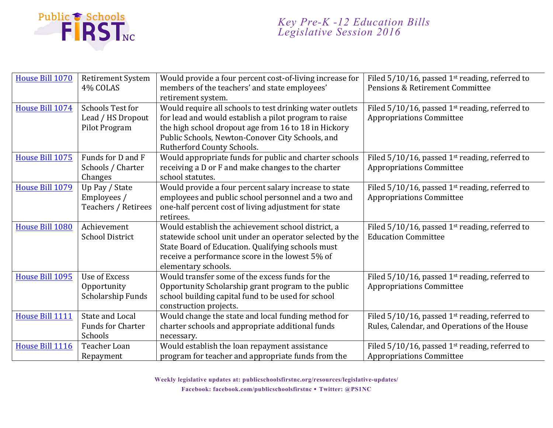

| House Bill 1070 | <b>Retirement System</b><br>4% COLAS                          | Would provide a four percent cost-of-living increase for<br>members of the teachers' and state employees'                                                                                                                                    | Filed $5/10/16$ , passed 1st reading, referred to<br>Pensions & Retirement Committee              |
|-----------------|---------------------------------------------------------------|----------------------------------------------------------------------------------------------------------------------------------------------------------------------------------------------------------------------------------------------|---------------------------------------------------------------------------------------------------|
|                 |                                                               | retirement system.                                                                                                                                                                                                                           |                                                                                                   |
| House Bill 1074 | Schools Test for<br>Lead / HS Dropout<br>Pilot Program        | Would require all schools to test drinking water outlets<br>for lead and would establish a pilot program to raise<br>the high school dropout age from 16 to 18 in Hickory                                                                    | Filed $5/10/16$ , passed 1 <sup>st</sup> reading, referred to<br><b>Appropriations Committee</b>  |
|                 |                                                               | Public Schools, Newton-Conover City Schools, and<br>Rutherford County Schools.                                                                                                                                                               |                                                                                                   |
| House Bill 1075 | Funds for D and F<br>Schools / Charter<br>Changes             | Would appropriate funds for public and charter schools<br>receiving a D or F and make changes to the charter<br>school statutes.                                                                                                             | Filed $5/10/16$ , passed 1 <sup>st</sup> reading, referred to<br><b>Appropriations Committee</b>  |
| House Bill 1079 | Up Pay / State<br>Employees /<br>Teachers / Retirees          | Would provide a four percent salary increase to state<br>employees and public school personnel and a two and<br>one-half percent cost of living adjustment for state<br>retirees.                                                            | Filed $5/10/16$ , passed 1 <sup>st</sup> reading, referred to<br><b>Appropriations Committee</b>  |
| House Bill 1080 | Achievement<br><b>School District</b>                         | Would establish the achievement school district, a<br>statewide school unit under an operator selected by the<br>State Board of Education. Qualifying schools must<br>receive a performance score in the lowest 5% of<br>elementary schools. | Filed $5/10/16$ , passed 1 <sup>st</sup> reading, referred to<br><b>Education Committee</b>       |
| House Bill 1095 | <b>Use of Excess</b><br>Opportunity<br>Scholarship Funds      | Would transfer some of the excess funds for the<br>Opportunity Scholarship grant program to the public<br>school building capital fund to be used for school<br>construction projects.                                                       | Filed $5/10/16$ , passed 1 <sup>st</sup> reading, referred to<br><b>Appropriations Committee</b>  |
| House Bill 1111 | <b>State and Local</b><br><b>Funds for Charter</b><br>Schools | Would change the state and local funding method for<br>charter schools and appropriate additional funds<br>necessary.                                                                                                                        | Filed $5/10/16$ , passed 1st reading, referred to<br>Rules, Calendar, and Operations of the House |
| House Bill 1116 | Teacher Loan<br>Repayment                                     | Would establish the loan repayment assistance<br>program for teacher and appropriate funds from the                                                                                                                                          | Filed $5/10/16$ , passed 1 <sup>st</sup> reading, referred to<br><b>Appropriations Committee</b>  |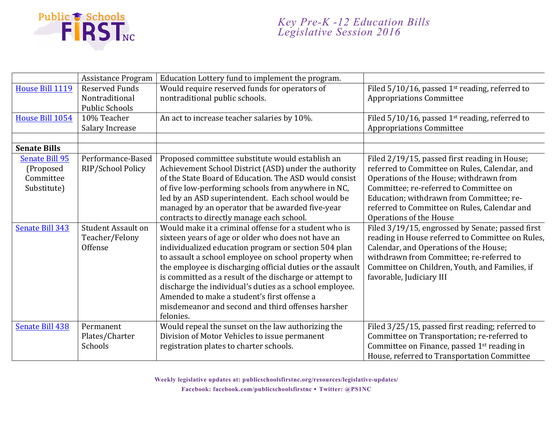

|                       | <b>Assistance Program</b> | Education Lottery fund to implement the program.           |                                                               |
|-----------------------|---------------------------|------------------------------------------------------------|---------------------------------------------------------------|
| House Bill 1119       | <b>Reserved Funds</b>     | Would require reserved funds for operators of              | Filed $5/10/16$ , passed 1 <sup>st</sup> reading, referred to |
|                       | Nontraditional            | nontraditional public schools.                             | <b>Appropriations Committee</b>                               |
|                       | <b>Public Schools</b>     |                                                            |                                                               |
| House Bill 1054       | 10% Teacher               | An act to increase teacher salaries by 10%.                | Filed 5/10/16, passed 1st reading, referred to                |
|                       | Salary Increase           |                                                            | <b>Appropriations Committee</b>                               |
|                       |                           |                                                            |                                                               |
| <b>Senate Bills</b>   |                           |                                                            |                                                               |
| <b>Senate Bill 95</b> | Performance-Based         | Proposed committee substitute would establish an           | Filed 2/19/15, passed first reading in House;                 |
| (Proposed             | RIP/School Policy         | Achievement School District (ASD) under the authority      | referred to Committee on Rules, Calendar, and                 |
| Committee             |                           | of the State Board of Education. The ASD would consist     | Operations of the House; withdrawn from                       |
| Substitute)           |                           | of five low-performing schools from anywhere in NC,        | Committee; re-referred to Committee on                        |
|                       |                           | led by an ASD superintendent. Each school would be         | Education; withdrawn from Committee; re-                      |
|                       |                           | managed by an operator that be awarded five-year           | referred to Committee on Rules, Calendar and                  |
|                       |                           | contracts to directly manage each school.                  | Operations of the House                                       |
| Senate Bill 343       | <b>Student Assault on</b> | Would make it a criminal offense for a student who is      | Filed 3/19/15, engrossed by Senate; passed first              |
|                       | Teacher/Felony            | sixteen years of age or older who does not have an         | reading in House referred to Committee on Rules,              |
|                       | Offense                   | individualized education program or section 504 plan       | Calendar, and Operations of the House;                        |
|                       |                           | to assault a school employee on school property when       | withdrawn from Committee; re-referred to                      |
|                       |                           | the employee is discharging official duties or the assault | Committee on Children, Youth, and Families, if                |
|                       |                           | is committed as a result of the discharge or attempt to    | favorable, Judiciary III                                      |
|                       |                           | discharge the individual's duties as a school employee.    |                                                               |
|                       |                           | Amended to make a student's first offense a                |                                                               |
|                       |                           | misdemeanor and second and third offenses harsher          |                                                               |
|                       |                           | felonies.                                                  |                                                               |
| Senate Bill 438       | Permanent                 | Would repeal the sunset on the law authorizing the         | Filed 3/25/15, passed first reading; referred to              |
|                       | Plates/Charter            | Division of Motor Vehicles to issue permanent              | Committee on Transportation; re-referred to                   |
|                       | Schools                   | registration plates to charter schools.                    | Committee on Finance, passed 1 <sup>st</sup> reading in       |
|                       |                           |                                                            | House, referred to Transportation Committee                   |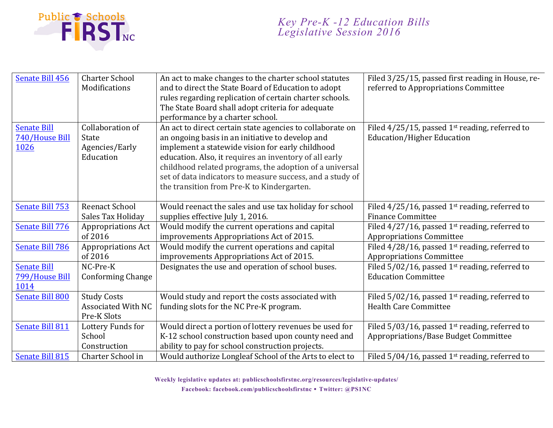

## *Key Pre-K -12 Education Bills Legislative Session 2016*

| Senate Bill 456                              | <b>Charter School</b><br>Modifications                          | An act to make changes to the charter school statutes<br>and to direct the State Board of Education to adopt<br>rules regarding replication of certain charter schools.<br>The State Board shall adopt criteria for adequate<br>performance by a charter school.                                                                                                                                  | Filed 3/25/15, passed first reading in House, re-<br>referred to Appropriations Committee             |
|----------------------------------------------|-----------------------------------------------------------------|---------------------------------------------------------------------------------------------------------------------------------------------------------------------------------------------------------------------------------------------------------------------------------------------------------------------------------------------------------------------------------------------------|-------------------------------------------------------------------------------------------------------|
| <b>Senate Bill</b><br>740/House Bill<br>1026 | Collaboration of<br><b>State</b><br>Agencies/Early<br>Education | An act to direct certain state agencies to collaborate on<br>an ongoing basis in an initiative to develop and<br>implement a statewide vision for early childhood<br>education. Also, it requires an inventory of all early<br>childhood related programs, the adoption of a universal<br>set of data indicators to measure success, and a study of<br>the transition from Pre-K to Kindergarten. | Filed $4/25/15$ , passed 1 <sup>st</sup> reading, referred to<br><b>Education/Higher Education</b>    |
| Senate Bill 753                              | <b>Reenact School</b><br>Sales Tax Holiday                      | Would reenact the sales and use tax holiday for school<br>supplies effective July 1, 2016.                                                                                                                                                                                                                                                                                                        | Filed $4/25/16$ , passed 1 <sup>st</sup> reading, referred to<br><b>Finance Committee</b>             |
| Senate Bill 776                              | <b>Appropriations Act</b><br>of 2016                            | Would modify the current operations and capital<br>improvements Appropriations Act of 2015.                                                                                                                                                                                                                                                                                                       | Filed $4/27/16$ , passed 1 <sup>st</sup> reading, referred to<br><b>Appropriations Committee</b>      |
| <b>Senate Bill 786</b>                       | <b>Appropriations Act</b><br>of 2016                            | Would modify the current operations and capital<br>improvements Appropriations Act of 2015.                                                                                                                                                                                                                                                                                                       | Filed $4/28/16$ , passed 1 <sup>st</sup> reading, referred to<br><b>Appropriations Committee</b>      |
| <b>Senate Bill</b><br>799/House Bill<br>1014 | NC-Pre-K<br><b>Conforming Change</b>                            | Designates the use and operation of school buses.                                                                                                                                                                                                                                                                                                                                                 | Filed $5/02/16$ , passed 1st reading, referred to<br><b>Education Committee</b>                       |
| Senate Bill 800                              | <b>Study Costs</b><br><b>Associated With NC</b><br>Pre-K Slots  | Would study and report the costs associated with<br>funding slots for the NC Pre-K program.                                                                                                                                                                                                                                                                                                       | Filed $5/02/16$ , passed 1 <sup>st</sup> reading, referred to<br><b>Health Care Committee</b>         |
| Senate Bill 811                              | Lottery Funds for<br>School<br>Construction                     | Would direct a portion of lottery revenues be used for<br>K-12 school construction based upon county need and<br>ability to pay for school construction projects.                                                                                                                                                                                                                                 | Filed $5/03/16$ , passed 1 <sup>st</sup> reading, referred to<br>Appropriations/Base Budget Committee |
| <b>Senate Bill 815</b>                       | Charter School in                                               | Would authorize Longleaf School of the Arts to elect to                                                                                                                                                                                                                                                                                                                                           | Filed $5/04/16$ , passed 1 <sup>st</sup> reading, referred to                                         |

**Weekly legislative updates at: publicschoolsfirstnc.org/resources/legislative-updates/ Facebook: facebook.com/publicschoolsfirstnc Twitter: @PS1NC**